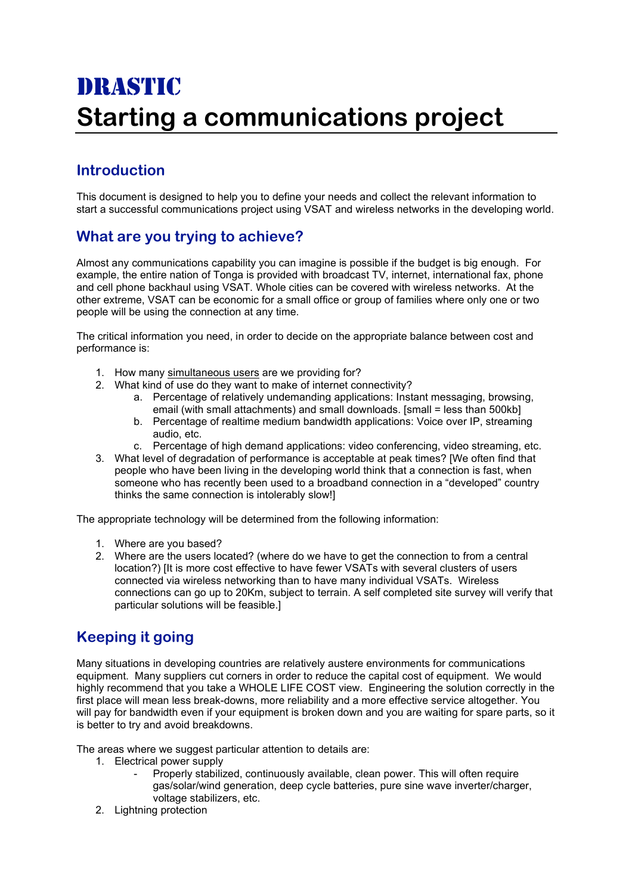# DRASTIC **Starting a communications project**

## **Introduction**

This document is designed to help you to define your needs and collect the relevant information to start a successful communications project using VSAT and wireless networks in the developing world.

#### **What are you trying to achieve?**

Almost any communications capability you can imagine is possible if the budget is big enough. For example, the entire nation of Tonga is provided with broadcast TV, internet, international fax, phone and cell phone backhaul using VSAT. Whole cities can be covered with wireless networks. At the other extreme, VSAT can be economic for a small office or group of families where only one or two people will be using the connection at any time.

The critical information you need, in order to decide on the appropriate balance between cost and performance is:

- 1. How many simultaneous users are we providing for?
- 2. What kind of use do they want to make of internet connectivity?
	- a. Percentage of relatively undemanding applications: Instant messaging, browsing, email (with small attachments) and small downloads. [small = less than 500kb]
	- b. Percentage of realtime medium bandwidth applications: Voice over IP, streaming audio, etc.
	- c. Percentage of high demand applications: video conferencing, video streaming, etc.
- 3. What level of degradation of performance is acceptable at peak times? [We often find that people who have been living in the developing world think that a connection is fast, when someone who has recently been used to a broadband connection in a "developed" country thinks the same connection is intolerably slow!]

The appropriate technology will be determined from the following information:

- 1. Where are you based?
- 2. Where are the users located? (where do we have to get the connection to from a central location?) [It is more cost effective to have fewer VSATs with several clusters of users connected via wireless networking than to have many individual VSATs. Wireless connections can go up to 20Km, subject to terrain. A self completed site survey will verify that particular solutions will be feasible.]

## **Keeping it going**

Many situations in developing countries are relatively austere environments for communications equipment. Many suppliers cut corners in order to reduce the capital cost of equipment. We would highly recommend that you take a WHOLE LIFE COST view. Engineering the solution correctly in the first place will mean less break-downs, more reliability and a more effective service altogether. You will pay for bandwidth even if your equipment is broken down and you are waiting for spare parts, so it is better to try and avoid breakdowns.

The areas where we suggest particular attention to details are:

- 1. Electrical power supply
	- Properly stabilized, continuously available, clean power. This will often require gas/solar/wind generation, deep cycle batteries, pure sine wave inverter/charger, voltage stabilizers, etc.
- 2. Lightning protection